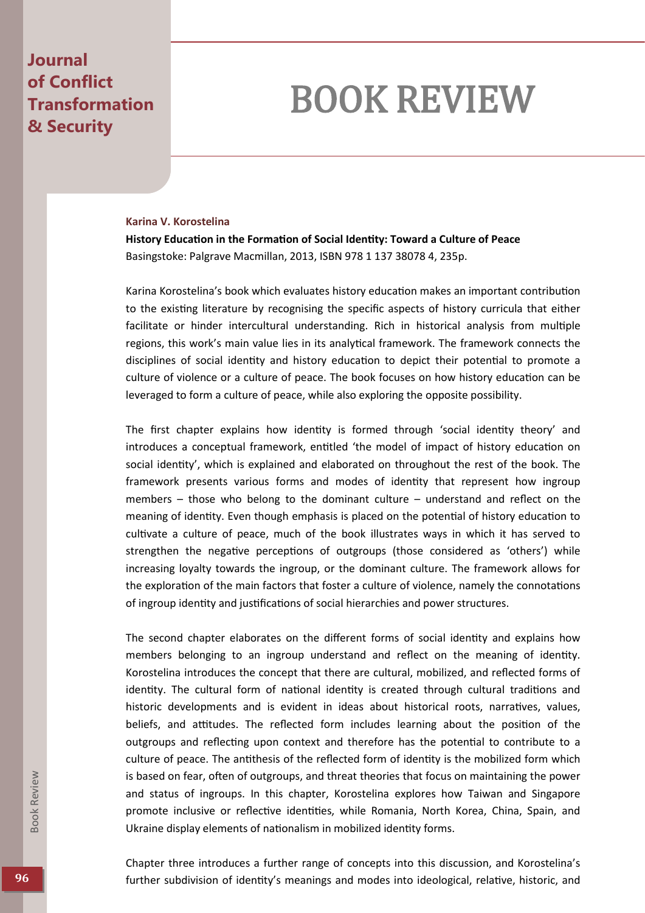## **Journal of Conflict Transformation & Security**

## BOOK REVIEW

## **Karina V. Korostelina**

**History Education in the Formation of Social Identity: Toward a Culture of Peace** Basingstoke: Palgrave Macmillan, 2013, ISBN 978 1 137 38078 4, 235p.

Karina Korostelina's book which evaluates history education makes an important contribution to the existing literature by recognising the specific aspects of history curricula that either facilitate or hinder intercultural understanding. Rich in historical analysis from multiple regions, this work's main value lies in its analytical framework. The framework connects the disciplines of social identity and history education to depict their potential to promote a culture of violence or a culture of peace. The book focuses on how history education can be leveraged to form a culture of peace, while also exploring the opposite possibility.

The first chapter explains how identity is formed through 'social identity theory' and introduces a conceptual framework, entitled 'the model of impact of history education on social identity', which is explained and elaborated on throughout the rest of the book. The framework presents various forms and modes of identity that represent how ingroup members – those who belong to the dominant culture – understand and reflect on the meaning of identity. Even though emphasis is placed on the potential of history education to cultivate a culture of peace, much of the book illustrates ways in which it has served to strengthen the negative perceptions of outgroups (those considered as 'others') while increasing loyalty towards the ingroup, or the dominant culture. The framework allows for the exploration of the main factors that foster a culture of violence, namely the connotations of ingroup identity and justifications of social hierarchies and power structures.

The second chapter elaborates on the different forms of social identity and explains how members belonging to an ingroup understand and reflect on the meaning of identity. Korostelina introduces the concept that there are cultural, mobilized, and reflected forms of identity. The cultural form of national identity is created through cultural traditions and historic developments and is evident in ideas about historical roots, narratives, values, beliefs, and attitudes. The reflected form includes learning about the position of the outgroups and reflecting upon context and therefore has the potential to contribute to a culture of peace. The antithesis of the reflected form of identity is the mobilized form which is based on fear, often of outgroups, and threat theories that focus on maintaining the power and status of ingroups. In this chapter, Korostelina explores how Taiwan and Singapore promote inclusive or reflective identities, while Romania, North Korea, China, Spain, and Ukraine display elements of nationalism in mobilized identity forms.

Chapter three introduces a further range of concepts into this discussion, and Korostelina's **96 further subdivision of identity's meanings and modes into ideological, relative, historic, and**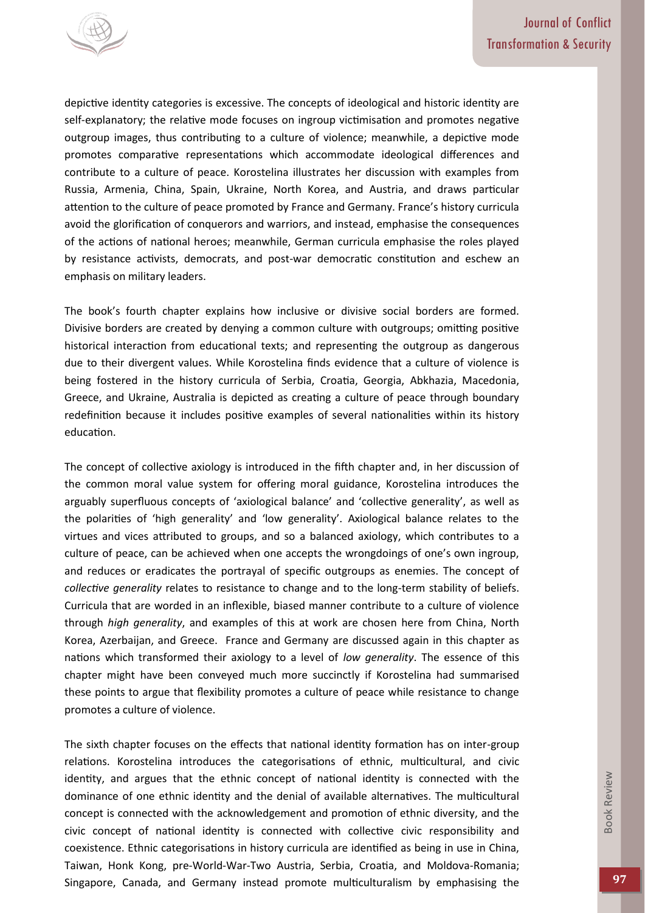

depictive identity categories is excessive. The concepts of ideological and historic identity are self-explanatory; the relative mode focuses on ingroup victimisation and promotes negative outgroup images, thus contributing to a culture of violence; meanwhile, a depictive mode promotes comparative representations which accommodate ideological differences and contribute to a culture of peace. Korostelina illustrates her discussion with examples from Russia, Armenia, China, Spain, Ukraine, North Korea, and Austria, and draws particular attention to the culture of peace promoted by France and Germany. France's history curricula avoid the glorification of conquerors and warriors, and instead, emphasise the consequences of the actions of national heroes; meanwhile, German curricula emphasise the roles played by resistance activists, democrats, and post-war democratic constitution and eschew an emphasis on military leaders.

The book's fourth chapter explains how inclusive or divisive social borders are formed. Divisive borders are created by denying a common culture with outgroups; omitting positive historical interaction from educational texts; and representing the outgroup as dangerous due to their divergent values. While Korostelina finds evidence that a culture of violence is being fostered in the history curricula of Serbia, Croatia, Georgia, Abkhazia, Macedonia, Greece, and Ukraine, Australia is depicted as creating a culture of peace through boundary redefinition because it includes positive examples of several nationalities within its history education.

The concept of collective axiology is introduced in the fifth chapter and, in her discussion of the common moral value system for offering moral guidance, Korostelina introduces the arguably superfluous concepts of 'axiological balance' and 'collective generality', as well as the polarities of 'high generality' and 'low generality'. Axiological balance relates to the virtues and vices attributed to groups, and so a balanced axiology, which contributes to a culture of peace, can be achieved when one accepts the wrongdoings of one's own ingroup, and reduces or eradicates the portrayal of specific outgroups as enemies. The concept of *collective generality* relates to resistance to change and to the long-term stability of beliefs. Curricula that are worded in an inflexible, biased manner contribute to a culture of violence through *high generality*, and examples of this at work are chosen here from China, North Korea, Azerbaijan, and Greece. France and Germany are discussed again in this chapter as nations which transformed their axiology to a level of *low generality*. The essence of this chapter might have been conveyed much more succinctly if Korostelina had summarised these points to argue that flexibility promotes a culture of peace while resistance to change promotes a culture of violence.

The sixth chapter focuses on the effects that national identity formation has on inter-group relations. Korostelina introduces the categorisations of ethnic, multicultural, and civic identity, and argues that the ethnic concept of national identity is connected with the dominance of one ethnic identity and the denial of available alternatives. The multicultural concept is connected with the acknowledgement and promotion of ethnic diversity, and the civic concept of national identity is connected with collective civic responsibility and coexistence. Ethnic categorisations in history curricula are identified as being in use in China, Taiwan, Honk Kong, pre-World-War-Two Austria, Serbia, Croatia, and Moldova-Romania; Singapore, Canada, and Germany instead promote multiculturalism by emphasising the **97**